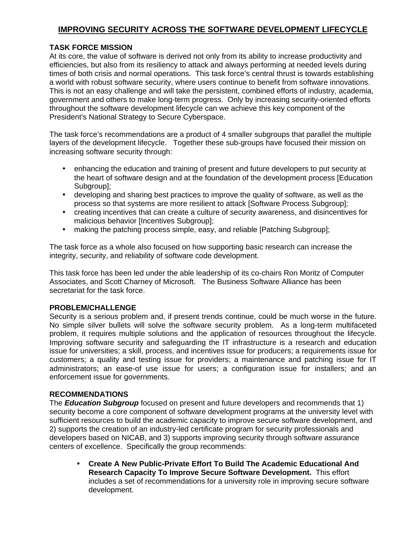# **IMPROVING SECURITY ACROSS THE SOFTWARE DEVELOPMENT LIFECYCLE**

### **TASK FORCE MISSION**

At its core, the value of software is derived not only from its ability to increase productivity and efficiencies, but also from its resiliency to attack and always performing at needed levels during times of both crisis and normal operations. This task force's central thrust is towards establishing a world with robust software security, where users continue to benefit from software innovations. This is not an easy challenge and will take the persistent, combined efforts of industry, academia, government and others to make long-term progress. Only by increasing security-oriented efforts throughout the software development lifecycle can we achieve this key component of the President's National Strategy to Secure Cyberspace.

The task force's recommendations are a product of 4 smaller subgroups that parallel the multiple layers of the development lifecycle. Together these sub-groups have focused their mission on increasing software security through:

- enhancing the education and training of present and future developers to put security at the heart of software design and at the foundation of the development process [Education Subgroup]:
- developing and sharing best practices to improve the quality of software, as well as the process so that systems are more resilient to attack [Software Process Subgroup];
- creating incentives that can create a culture of security awareness, and disincentives for malicious behavior [Incentives Subgroup];
- making the patching process simple, easy, and reliable [Patching Subgroup];

The task force as a whole also focused on how supporting basic research can increase the integrity, security, and reliability of software code development.

This task force has been led under the able leadership of its co-chairs Ron Moritz of Computer Associates, and Scott Charney of Microsoft. The Business Software Alliance has been secretariat for the task force.

#### **PROBLEM/CHALLENGE**

Security is a serious problem and, if present trends continue, could be much worse in the future. No simple silver bullets will solve the software security problem. As a long-term multifaceted problem, it requires multiple solutions and the application of resources throughout the lifecycle. Improving software security and safeguarding the IT infrastructure is a research and education issue for universities; a skill, process, and incentives issue for producers; a requirements issue for customers; a quality and testing issue for providers; a maintenance and patching issue for IT administrators; an ease-of use issue for users; a configuration issue for installers; and an enforcement issue for governments.

#### **RECOMMENDATIONS**

The *Education Subgroup* focused on present and future developers and recommends that 1) security become a core component of software development programs at the university level with sufficient resources to build the academic capacity to improve secure software development, and 2) supports the creation of an industry-led certificate program for security professionals and developers based on NICAB, and 3) supports improving security through software assurance centers of excellence. Specifically the group recommends:

• **Create A New Public-Private Effort To Build The Academic Educational And Research Capacity To Improve Secure Software Development.** This effort includes a set of recommendations for a university role in improving secure software development.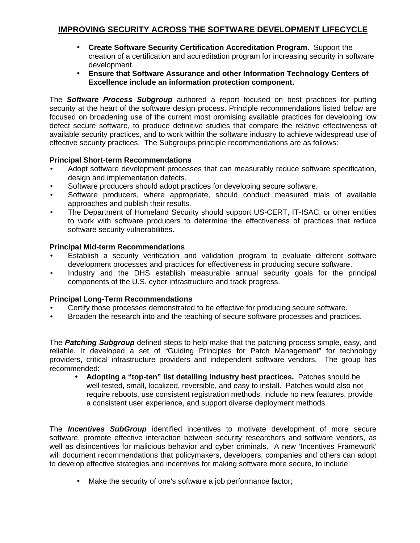# **IMPROVING SECURITY ACROSS THE SOFTWARE DEVELOPMENT LIFECYCLE**

- **Create Software Security Certification Accreditation Program**. Support the creation of a certification and accreditation program for increasing security in software development.
- **Ensure that Software Assurance and other Information Technology Centers of Excellence include an information protection component.**

The *Software Process Subgroup* authored a report focused on best practices for putting security at the heart of the software design process. Principle recommendations listed below are focused on broadening use of the current most promising available practices for developing low defect secure software, to produce definitive studies that compare the relative effectiveness of available security practices, and to work within the software industry to achieve widespread use of effective security practices. The Subgroups principle recommendations are as follows:

### **Principal Short-term Recommendations**

- Adopt software development processes that can measurably reduce software specification, design and implementation defects.
- Software producers should adopt practices for developing secure software.
- Software producers, where appropriate, should conduct measured trials of available approaches and publish their results.
- The Department of Homeland Security should support US-CERT, IT-ISAC, or other entities to work with software producers to determine the effectiveness of practices that reduce software security vulnerabilities.

#### **Principal Mid-term Recommendations**

- Establish a security verification and validation program to evaluate different software development processes and practices for effectiveness in producing secure software.
- Industry and the DHS establish measurable annual security goals for the principal components of the U.S. cyber infrastructure and track progress.

#### **Principal Long-Term Recommendations**

- Certify those processes demonstrated to be effective for producing secure software.
- Broaden the research into and the teaching of secure software processes and practices.

The *Patching Subgroup* defined steps to help make that the patching process simple, easy, and reliable. It developed a set of "Guiding Principles for Patch Management" for technology providers, critical infrastructure providers and independent software vendors. The group has recommended:

• **Adopting a "top-ten" list detailing industry best practices.** Patches should be well-tested, small, localized, reversible, and easy to install. Patches would also not require reboots, use consistent registration methods, include no new features, provide a consistent user experience, and support diverse deployment methods.

The *Incentives SubGroup* identified incentives to motivate development of more secure software, promote effective interaction between security researchers and software vendors, as well as disincentives for malicious behavior and cyber criminals. A new 'Incentives Framework' will document recommendations that policymakers, developers, companies and others can adopt to develop effective strategies and incentives for making software more secure, to include:

Make the security of one's software a job performance factor;